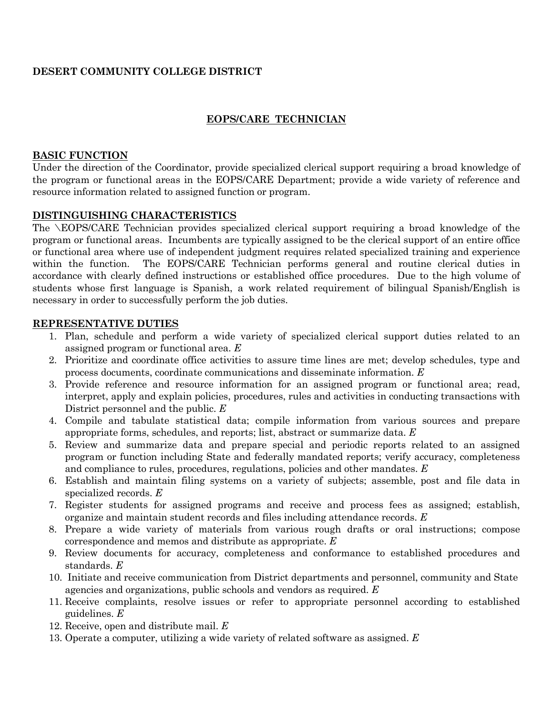## **DESERT COMMUNITY COLLEGE DISTRICT**

## **EOPS/CARE TECHNICIAN**

### **BASIC FUNCTION**

Under the direction of the Coordinator, provide specialized clerical support requiring a broad knowledge of the program or functional areas in the EOPS/CARE Department; provide a wide variety of reference and resource information related to assigned function or program.

## **DISTINGUISHING CHARACTERISTICS**

The \EOPS/CARE Technician provides specialized clerical support requiring a broad knowledge of the program or functional areas. Incumbents are typically assigned to be the clerical support of an entire office or functional area where use of independent judgment requires related specialized training and experience within the function. The EOPS/CARE Technician performs general and routine clerical duties in accordance with clearly defined instructions or established office procedures. Due to the high volume of students whose first language is Spanish, a work related requirement of bilingual Spanish/English is necessary in order to successfully perform the job duties.

#### **REPRESENTATIVE DUTIES**

- 1. Plan, schedule and perform a wide variety of specialized clerical support duties related to an assigned program or functional area. *E*
- 2. Prioritize and coordinate office activities to assure time lines are met; develop schedules, type and process documents, coordinate communications and disseminate information. *E*
- 3. Provide reference and resource information for an assigned program or functional area; read, interpret, apply and explain policies, procedures, rules and activities in conducting transactions with District personnel and the public. *E*
- 4. Compile and tabulate statistical data; compile information from various sources and prepare appropriate forms, schedules, and reports; list, abstract or summarize data. *E*
- 5. Review and summarize data and prepare special and periodic reports related to an assigned program or function including State and federally mandated reports; verify accuracy, completeness and compliance to rules, procedures, regulations, policies and other mandates. *E*
- 6. Establish and maintain filing systems on a variety of subjects; assemble, post and file data in specialized records. *E*
- 7. Register students for assigned programs and receive and process fees as assigned; establish, organize and maintain student records and files including attendance records. *E*
- 8. Prepare a wide variety of materials from various rough drafts or oral instructions; compose correspondence and memos and distribute as appropriate. *E*
- 9. Review documents for accuracy, completeness and conformance to established procedures and standards. *E*
- 10. Initiate and receive communication from District departments and personnel, community and State agencies and organizations, public schools and vendors as required. *E*
- 11. Receive complaints, resolve issues or refer to appropriate personnel according to established guidelines. *E*
- 12. Receive, open and distribute mail. *E*
- 13. Operate a computer, utilizing a wide variety of related software as assigned. *E*